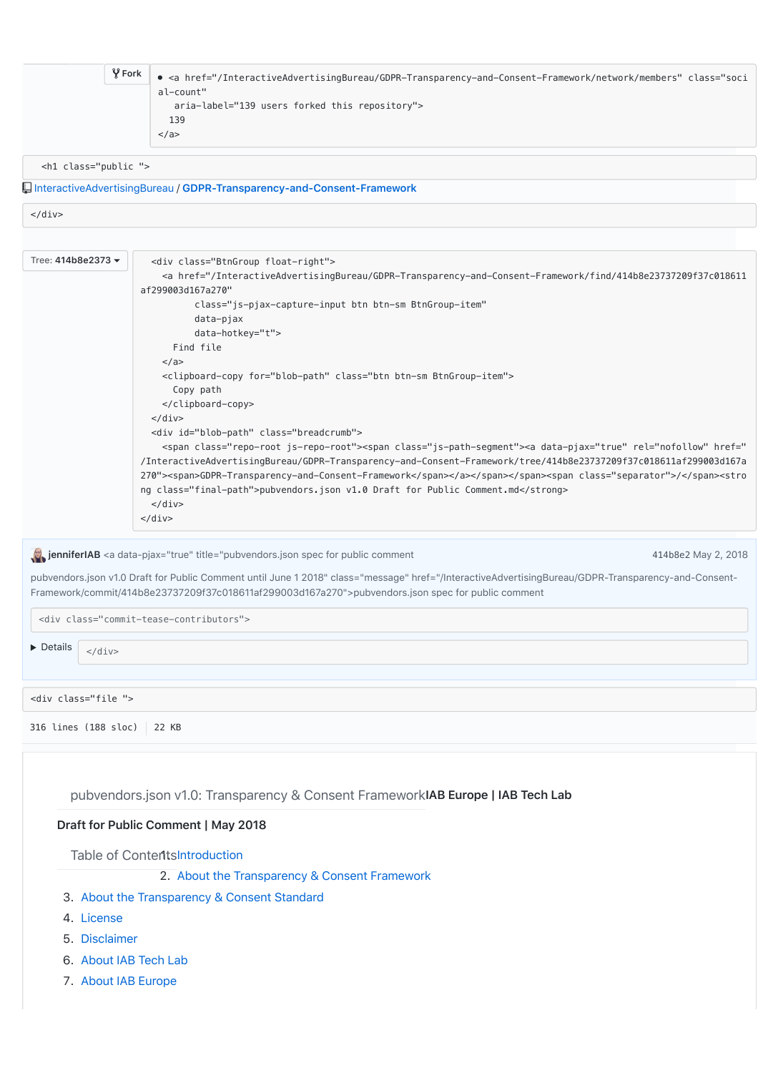|                          | $\sqrt{2}$ Fork | • <a <="" class="soci&lt;/th&gt;&lt;/tr&gt;&lt;tr&gt;&lt;td&gt;&lt;/td&gt;&lt;td&gt;&lt;/td&gt;&lt;td&gt;al-count" href="/InteractiveAdvertisingBureau/GDPR-Transparency-and-Consent-Framework/network/members" td=""></a>                                                                                                                                                                                                                                                                                                                             |
|--------------------------|-----------------|--------------------------------------------------------------------------------------------------------------------------------------------------------------------------------------------------------------------------------------------------------------------------------------------------------------------------------------------------------------------------------------------------------------------------------------------------------------------------------------------------------------------------------------------------------|
|                          |                 | aria-label="139 users forked this repository"><br>139                                                                                                                                                                                                                                                                                                                                                                                                                                                                                                  |
|                          |                 | $\langle$ a>                                                                                                                                                                                                                                                                                                                                                                                                                                                                                                                                           |
|                          |                 |                                                                                                                                                                                                                                                                                                                                                                                                                                                                                                                                                        |
| <h1 class="public"></h1> |                 |                                                                                                                                                                                                                                                                                                                                                                                                                                                                                                                                                        |
|                          |                 | InteractiveAdvertisingBureau / GDPR-Transparency-and-Consent-Framework                                                                                                                                                                                                                                                                                                                                                                                                                                                                                 |
| $\langle$ /div $\rangle$ |                 |                                                                                                                                                                                                                                                                                                                                                                                                                                                                                                                                                        |
|                          |                 |                                                                                                                                                                                                                                                                                                                                                                                                                                                                                                                                                        |
| Tree: 414b8e2373 ▼       |                 | <div class="BtnGroup float-right"></div>                                                                                                                                                                                                                                                                                                                                                                                                                                                                                                               |
|                          |                 | <a <="" href="/InteractiveAdvertisingBureau/GDPR-Transparency-and-Consent-Framework/find/414b8e23737209f37c018611&lt;/td&gt;&lt;/tr&gt;&lt;tr&gt;&lt;td&gt;&lt;/td&gt;&lt;td&gt;&lt;/td&gt;&lt;td&gt;af299003d167a270" td=""></a>                                                                                                                                                                                                                                                                                                                      |
|                          |                 | class="js-pjax-capture-input btn btn-sm BtnGroup-item"<br>data-pjax                                                                                                                                                                                                                                                                                                                                                                                                                                                                                    |
|                          |                 | data-hotkey="t">                                                                                                                                                                                                                                                                                                                                                                                                                                                                                                                                       |
|                          |                 | Find file                                                                                                                                                                                                                                                                                                                                                                                                                                                                                                                                              |
|                          |                 | $\langle$ a><br><clipboard-copy class="btn btn-sm BtnGroup-item" for="blob-path"></clipboard-copy>                                                                                                                                                                                                                                                                                                                                                                                                                                                     |
|                          |                 | Copy path                                                                                                                                                                                                                                                                                                                                                                                                                                                                                                                                              |
|                          |                 | <br>$\langle$ /div $\rangle$                                                                                                                                                                                                                                                                                                                                                                                                                                                                                                                           |
|                          |                 | <div class="breadcrumb" id="blob-path"></div>                                                                                                                                                                                                                                                                                                                                                                                                                                                                                                          |
|                          |                 | <span class="repo-root js-repo-root"><span class="js-path-segment"><a data-pjax="true" href="&lt;/td&gt;&lt;/tr&gt;&lt;tr&gt;&lt;td&gt;&lt;/td&gt;&lt;td&gt;&lt;/td&gt;&lt;td&gt;/InteractiveAdvertisingBureau/GDPR-Transparency-and-Consent-Framework/tree/414b8e23737209f37c018611af299003d167a&lt;br&gt;270" rel="nofollow"><span>GDPR-Transparency-and-Consent-Framework</span></a></span></span> <span class="separator">/</span> <stro< td=""></stro<>                                                                                           |
|                          |                 | ng class="final-path">pubvendors.json v1.0 Draft for Public Comment.md                                                                                                                                                                                                                                                                                                                                                                                                                                                                                 |
|                          |                 | $\langle$ /div $\rangle$                                                                                                                                                                                                                                                                                                                                                                                                                                                                                                                               |
|                          |                 | $<$ /div>                                                                                                                                                                                                                                                                                                                                                                                                                                                                                                                                              |
|                          |                 | jenniferIAB <a class="message" data-pjax="true" href="/InteractiveAdvertisingBureau/GDPR-Transparency-and-Consent-&lt;br&gt;Framework/commit/414b8e23737209f37c018611af299003d167a270" title="pubvendors.json spec for public comment&lt;br&gt;414b8e2 May 2, 2018&lt;/td&gt;&lt;/tr&gt;&lt;tr&gt;&lt;td&gt;&lt;/td&gt;&lt;td&gt;&lt;/td&gt;&lt;td&gt;&lt;/td&gt;&lt;/tr&gt;&lt;tr&gt;&lt;td&gt;&lt;/td&gt;&lt;td&gt;&lt;/td&gt;&lt;td&gt;pubvendors.json v1.0 Draft for Public Comment until June 1 2018">pubvendors.json spec for public comment</a> |
|                          |                 |                                                                                                                                                                                                                                                                                                                                                                                                                                                                                                                                                        |
|                          |                 | <div class="commit-tease-contributors"></div>                                                                                                                                                                                                                                                                                                                                                                                                                                                                                                          |
| • Details<br>$<$ /div>   |                 |                                                                                                                                                                                                                                                                                                                                                                                                                                                                                                                                                        |
|                          |                 |                                                                                                                                                                                                                                                                                                                                                                                                                                                                                                                                                        |
|                          |                 |                                                                                                                                                                                                                                                                                                                                                                                                                                                                                                                                                        |
| <div class="file"></div> |                 |                                                                                                                                                                                                                                                                                                                                                                                                                                                                                                                                                        |
| 316 lines (188 sloc)     |                 | 22 KB                                                                                                                                                                                                                                                                                                                                                                                                                                                                                                                                                  |
|                          |                 |                                                                                                                                                                                                                                                                                                                                                                                                                                                                                                                                                        |
|                          |                 |                                                                                                                                                                                                                                                                                                                                                                                                                                                                                                                                                        |
|                          |                 |                                                                                                                                                                                                                                                                                                                                                                                                                                                                                                                                                        |
|                          |                 | pubvendors.json v1.0: Transparency & Consent FrameworkIAB Europe   IAB Tech Lab                                                                                                                                                                                                                                                                                                                                                                                                                                                                        |
|                          |                 | Draft for Public Comment   May 2018                                                                                                                                                                                                                                                                                                                                                                                                                                                                                                                    |
|                          |                 |                                                                                                                                                                                                                                                                                                                                                                                                                                                                                                                                                        |
|                          |                 | Table of ContentsIntroduction                                                                                                                                                                                                                                                                                                                                                                                                                                                                                                                          |
|                          |                 | 2. About the Transparency & Consent Framework                                                                                                                                                                                                                                                                                                                                                                                                                                                                                                          |
|                          |                 | 3. About the Transparency & Consent Standard                                                                                                                                                                                                                                                                                                                                                                                                                                                                                                           |
| 4. License               |                 |                                                                                                                                                                                                                                                                                                                                                                                                                                                                                                                                                        |
| 5. Disclaimer            |                 |                                                                                                                                                                                                                                                                                                                                                                                                                                                                                                                                                        |
|                          |                 |                                                                                                                                                                                                                                                                                                                                                                                                                                                                                                                                                        |

- 6. [About IAB Tech Lab](file:///Users/johnnyryan/Dropbox/Brave/Ravi/IAB/pubvendors.json%20v1.0%20Draft%20for%20Public%20Comment.md#About-Tech-Lab)
- 7. [About IAB Europe](file:///Users/johnnyryan/Dropbox/Brave/Ravi/IAB/pubvendors.json%20v1.0%20Draft%20for%20Public%20Comment.md#About-IAB-Europe)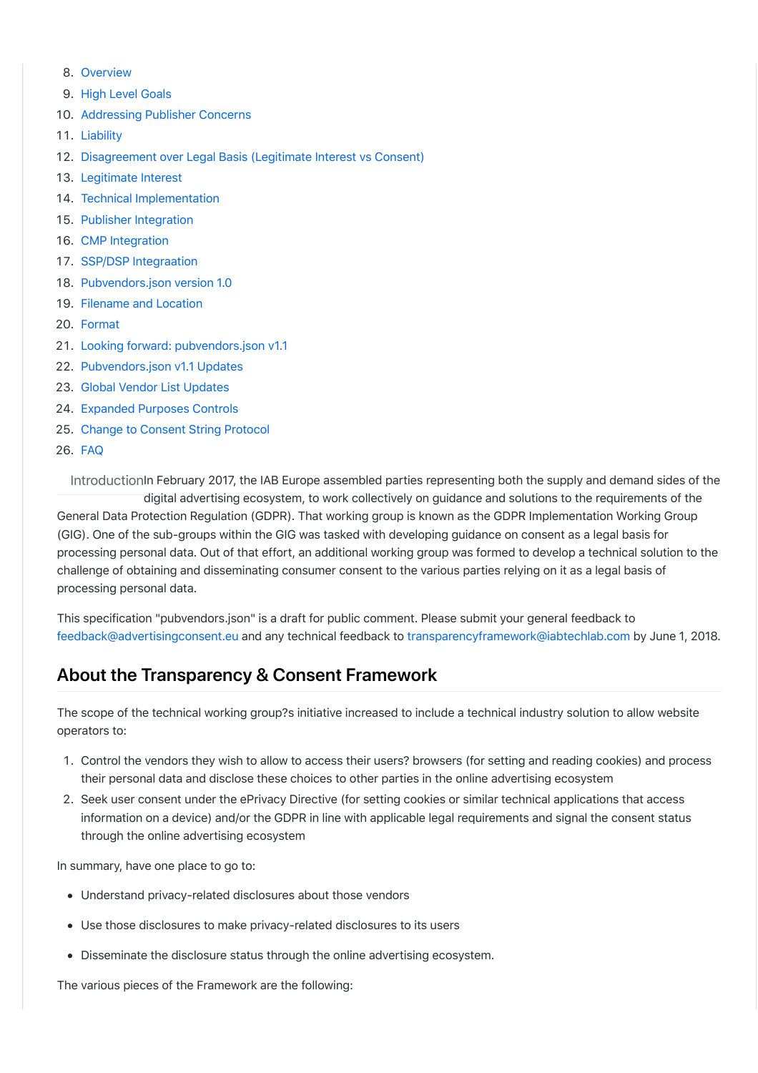- 8. [Overview](file:///Users/johnnyryan/Dropbox/Brave/Ravi/IAB/pubvendors.json%20v1.0%20Draft%20for%20Public%20Comment.md#overview)
- g. [High Level Goals](file:///Users/johnnyryan/Dropbox/Brave/Ravi/IAB/pubvendors.json%20v1.0%20Draft%20for%20Public%20Comment.md#goals)
- 10. [Addressing Publisher Concerns](file:///Users/johnnyryan/Dropbox/Brave/Ravi/IAB/pubvendors.json%20v1.0%20Draft%20for%20Public%20Comment.md#concerns)
- 11. [Liability](file:///Users/johnnyryan/Dropbox/Brave/Ravi/IAB/pubvendors.json%20v1.0%20Draft%20for%20Public%20Comment.md#liability)
- 12. [Disagreement over Legal Basis \(Legitimate Interest vs Consent\)](file:///Users/johnnyryan/Dropbox/Brave/Ravi/IAB/pubvendors.json%20v1.0%20Draft%20for%20Public%20Comment.md#disagreement)
- 13. [Legitimate Interest](file:///Users/johnnyryan/Dropbox/Brave/Ravi/IAB/pubvendors.json%20v1.0%20Draft%20for%20Public%20Comment.md#LI)
- 14. [Technical Implementation](file:///Users/johnnyryan/Dropbox/Brave/Ravi/IAB/pubvendors.json%20v1.0%20Draft%20for%20Public%20Comment.md#technical)
- 15. [Publisher Integration](file:///Users/johnnyryan/Dropbox/Brave/Ravi/IAB/pubvendors.json%20v1.0%20Draft%20for%20Public%20Comment.md#publisher)
- 16. [CMP Integration](file:///Users/johnnyryan/Dropbox/Brave/Ravi/IAB/pubvendors.json%20v1.0%20Draft%20for%20Public%20Comment.md#cmp)
- 17. [SSP/DSP Integraation](file:///Users/johnnyryan/Dropbox/Brave/Ravi/IAB/pubvendors.json%20v1.0%20Draft%20for%20Public%20Comment.md#SSPDSP)
- 18. [Pubvendors.json version 1.0](file:///Users/johnnyryan/Dropbox/Brave/Ravi/IAB/pubvendors.json%20v1.0%20Draft%20for%20Public%20Comment.md#v1.0)
- 19. [Filename and Location](file:///Users/johnnyryan/Dropbox/Brave/Ravi/IAB/pubvendors.json%20v1.0%20Draft%20for%20Public%20Comment.md#filename)
- 20. [Format](file:///Users/johnnyryan/Dropbox/Brave/Ravi/IAB/pubvendors.json%20v1.0%20Draft%20for%20Public%20Comment.md#format)
- 21. [Looking forward: pubvendors.json v1.1](file:///Users/johnnyryan/Dropbox/Brave/Ravi/IAB/pubvendors.json%20v1.0%20Draft%20for%20Public%20Comment.md#v1.1)
- 22. [Pubvendors.json v1.1 Updates](file:///Users/johnnyryan/Dropbox/Brave/Ravi/IAB/pubvendors.json%20v1.0%20Draft%20for%20Public%20Comment.md#updates)
- 23. [Global Vendor List Updates](file:///Users/johnnyryan/Dropbox/Brave/Ravi/IAB/pubvendors.json%20v1.0%20Draft%20for%20Public%20Comment.md#gvl)
- 24. [Expanded Purposes Controls](file:///Users/johnnyryan/Dropbox/Brave/Ravi/IAB/pubvendors.json%20v1.0%20Draft%20for%20Public%20Comment.md#purposescontrol)
- 25. [Change to Consent String Protocol](file:///Users/johnnyryan/Dropbox/Brave/Ravi/IAB/pubvendors.json%20v1.0%20Draft%20for%20Public%20Comment.md#consentstring)
- 26. [FAQ](file:///Users/johnnyryan/Dropbox/Brave/Ravi/IAB/pubvendors.json%20v1.0%20Draft%20for%20Public%20Comment.md#FAQ)

IntroductionIn February 2017, the IAB Europe assembled parties representing both the supply and demand sides of the digital advertising ecosystem, to work collectively on guidance and solutions to the requirements of the General Data Protection Regulation (GDPR). That working group is known as the GDPR Implementation Working Group (GIG). One of the sub-groups within the GIG was tasked with developing guidance on consent as a legal basis for processing personal data. Out of that effort, an additional working group was formed to develop a technical solution to the challenge of obtaining and disseminating consumer consent to the various parties relying on it as a legal basis of processing personal data.

This specification "pubvendors.json" is a draft for public comment. Please submit your general feedback to [feedback@advertisingconsent.eu](mailto:feedback@advertisingconsent.eu) and any technical feedback to [transparencyframework@iabtechlab.com](mailto:transparencyframework@iabtechlab.com) by June 1, 2018.

# **[Ab](file:///Users/johnnyryan/Dropbox/Brave/Ravi/IAB/pubvendors.json%20v1.0%20Draft%20for%20Public%20Comment.md#about-the-transparency--consent-framework-)out the Transparency & Consent Framework**

The scope of the technical working group?s initiative increased to include a technical industry solution to allow website operators to:

- ?. Control the vendors they wish to allow to access their users? browsers (for setting and reading cookies) and process their personal data and disclose these choices to other parties in the online advertising ecosystem
- B. Seek user consent under the ePrivacy Directive (for setting cookies or similar technical applications that access information on a device) and/or the GDPR in line with applicable legal requirements and signal the consent status through the online advertising ecosystem

In summary, have one place to go to:

- Understand privacy-related disclosures about those vendors
- Use those disclosures to make privacy-related disclosures to its users
- Disseminate the disclosure status through the online advertising ecosystem.

The various pieces of the Framework are the following: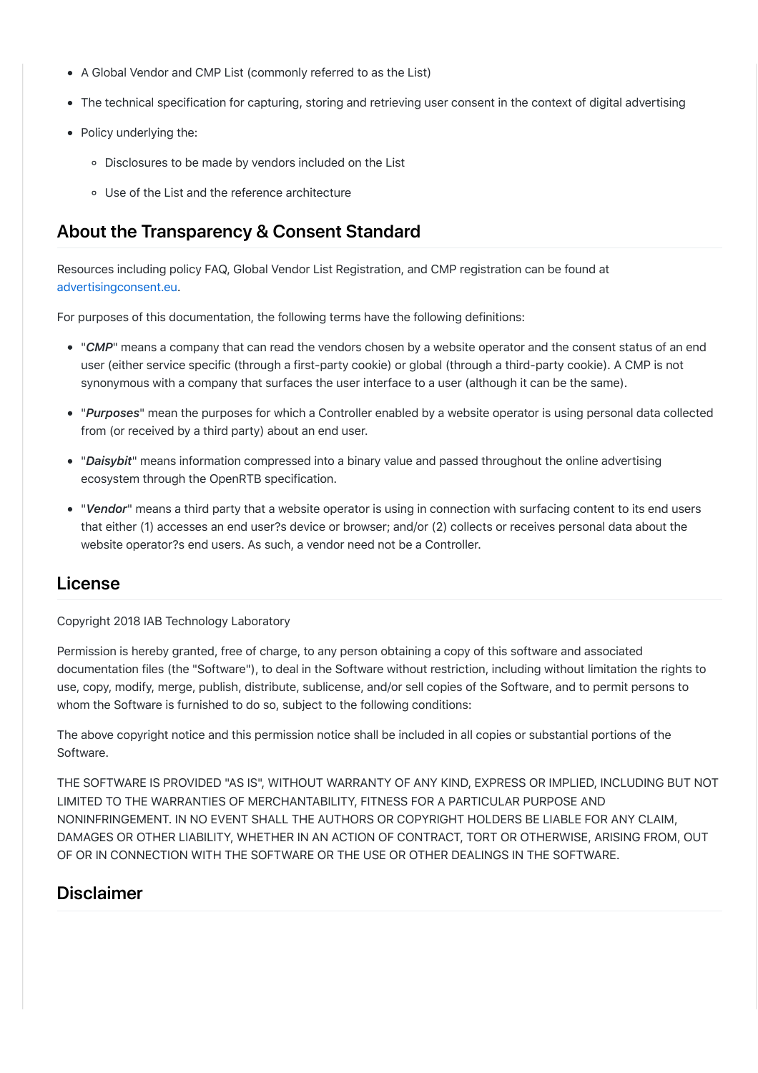- A Global Vendor and CMP List (commonly referred to as the List)
- The technical specification for capturing, storing and retrieving user consent in the context of digital advertising
- Policy underlying the:
	- Disclosures to be made by vendors included on the List
	- Use of the List and the reference architecture

# **[Ab](file:///Users/johnnyryan/Dropbox/Brave/Ravi/IAB/pubvendors.json%20v1.0%20Draft%20for%20Public%20Comment.md#about-the-transparency--consent-standard-)out the Transparency & Consent Standard**

Resources including policy FAQ, Global Vendor List Registration, and CMP registration can be found at [advertisingconsent.eu](http://advertisingconsent.eu/).

For purposes of this documentation, the following terms have the following definitions:

- "*CMP*" means a company that can read the vendors chosen by a website operator and the consent status of an end user (either service specific (through a first-party cookie) or global (through a third-party cookie). A CMP is not synonymous with a company that surfaces the user interface to a user (although it can be the same).
- "*Purposes*" mean the purposes for which a Controller enabled by a website operator is using personal data collected from (or received by a third party) about an end user.
- "*Daisybit*" means information compressed into a binary value and passed throughout the online advertising ecosystem through the OpenRTB specification.
- "*Vendor*" means a third party that a website operator is using in connection with surfacing content to its end users that either (1) accesses an end user?s device or browser; and/or (2) collects or receives personal data about the website operator?s end users. As such, a vendor need not be a Controller.

### **[Lic](file:///Users/johnnyryan/Dropbox/Brave/Ravi/IAB/pubvendors.json%20v1.0%20Draft%20for%20Public%20Comment.md#license-)ense**

Copyright 2018 IAB Technology Laboratory

Permission is hereby granted, free of charge, to any person obtaining a copy of this software and associated documentation files (the "Software"), to deal in the Software without restriction, including without limitation the rights to use, copy, modify, merge, publish, distribute, sublicense, and/or sell copies of the Software, and to permit persons to whom the Software is furnished to do so, subject to the following conditions:

The above copyright notice and this permission notice shall be included in all copies or substantial portions of the Software.

THE SOFTWARE IS PROVIDED "AS IS", WITHOUT WARRANTY OF ANY KIND, EXPRESS OR IMPLIED, INCLUDING BUT NOT LIMITED TO THE WARRANTIES OF MERCHANTABILITY, FITNESS FOR A PARTICULAR PURPOSE AND NONINFRINGEMENT. IN NO EVENT SHALL THE AUTHORS OR COPYRIGHT HOLDERS BE LIABLE FOR ANY CLAIM, DAMAGES OR OTHER LIABILITY, WHETHER IN AN ACTION OF CONTRACT, TORT OR OTHERWISE, ARISING FROM, OUT OF OR IN CONNECTION WITH THE SOFTWARE OR THE USE OR OTHER DEALINGS IN THE SOFTWARE.

### **[Dis](file:///Users/johnnyryan/Dropbox/Brave/Ravi/IAB/pubvendors.json%20v1.0%20Draft%20for%20Public%20Comment.md#disclaimer-)claimer**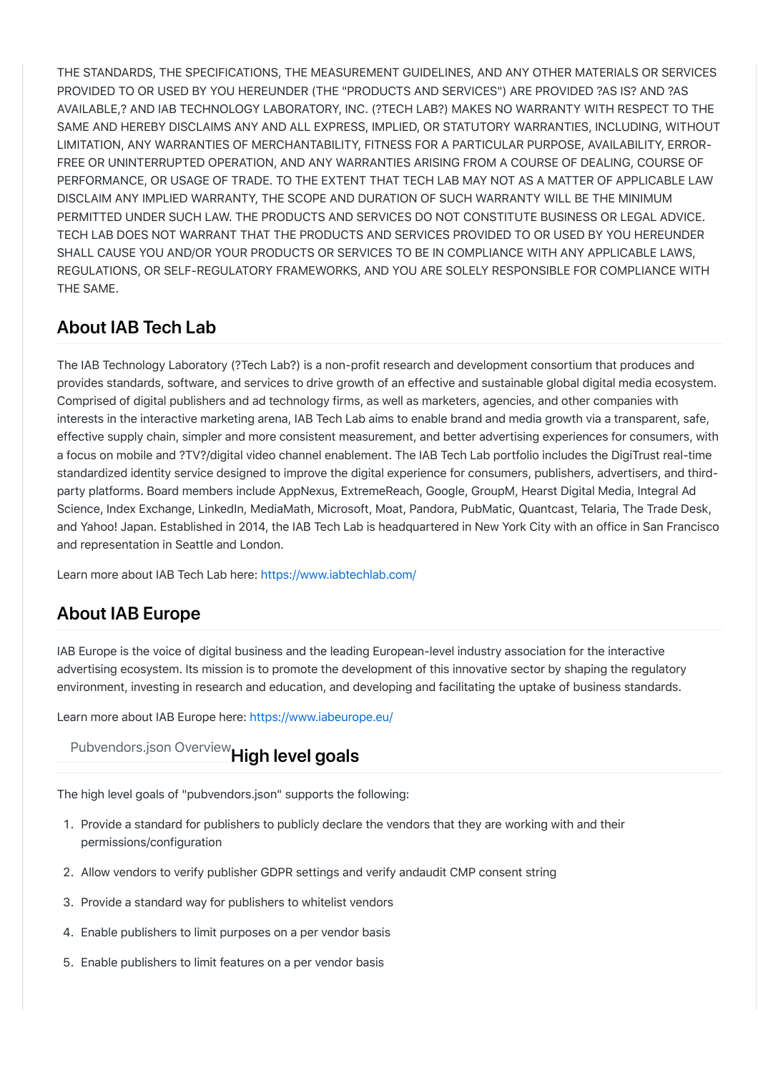THE STANDARDS, THE SPECIFICATIONS, THE MEASUREMENT GUIDELINES, AND ANY OTHER MATERIALS OR SERVICES PROVIDED TO OR USED BY YOU HEREUNDER (THE "PRODUCTS AND SERVICES") ARE PROVIDED ?AS IS? AND ?AS AVAILABLE,? AND IAB TECHNOLOGY LABORATORY, INC. (?TECH LAB?) MAKES NO WARRANTY WITH RESPECT TO THE SAME AND HEREBY DISCLAIMS ANY AND ALL EXPRESS, IMPLIED, OR STATUTORY WARRANTIES, INCLUDING, WITHOUT LIMITATION, ANY WARRANTIES OF MERCHANTABILITY, FITNESS FOR A PARTICULAR PURPOSE, AVAILABILITY, ERROR-FREE OR UNINTERRUPTED OPERATION, AND ANY WARRANTIES ARISING FROM A COURSE OF DEALING, COURSE OF PERFORMANCE, OR USAGE OF TRADE. TO THE EXTENT THAT TECH LAB MAY NOT AS A MATTER OF APPLICABLE LAW DISCLAIM ANY IMPLIED WARRANTY, THE SCOPE AND DURATION OF SUCH WARRANTY WILL BE THE MINIMUM PERMITTED UNDER SUCH LAW. THE PRODUCTS AND SERVICES DO NOT CONSTITUTE BUSINESS OR LEGAL ADVICE. TECH LAB DOES NOT WARRANT THAT THE PRODUCTS AND SERVICES PROVIDED TO OR USED BY YOU HEREUNDER SHALL CAUSE YOU AND/OR YOUR PRODUCTS OR SERVICES TO BE IN COMPLIANCE WITH ANY APPLICABLE LAWS, REGULATIONS, OR SELF-REGULATORY FRAMEWORKS, AND YOU ARE SOLELY RESPONSIBLE FOR COMPLIANCE WITH THE SAME.

# **[Ab](file:///Users/johnnyryan/Dropbox/Brave/Ravi/IAB/pubvendors.json%20v1.0%20Draft%20for%20Public%20Comment.md#about-iab-tech-lab--)out IAB Tech Lab**

The IAB Technology Laboratory (?Tech Lab?) is a non-profit research and development consortium that produces and provides standards, software, and services to drive growth of an effective and sustainable global digital media ecosystem. Comprised of digital publishers and ad technology firms, as well as marketers, agencies, and other companies with interests in the interactive marketing arena, IAB Tech Lab aims to enable brand and media growth via a transparent, safe, effective supply chain, simpler and more consistent measurement, and better advertising experiences for consumers, with a focus on mobile and ?TV?/digital video channel enablement. The IAB Tech Lab portfolio includes the DigiTrust real-time standardized identity service designed to improve the digital experience for consumers, publishers, advertisers, and thirdparty platforms. Board members include AppNexus, ExtremeReach, Google, GroupM, Hearst Digital Media, Integral Ad Science, Index Exchange, LinkedIn, MediaMath, Microsoft, Moat, Pandora, PubMatic, Quantcast, Telaria, The Trade Desk, and Yahoo! Japan. Established in 2014, the IAB Tech Lab is headquartered in New York City with an office in San Francisco and representation in Seattle and London.

Learn more about IAB Tech Lab here: <https://www.iabtechlab.com/>

# **[Ab](file:///Users/johnnyryan/Dropbox/Brave/Ravi/IAB/pubvendors.json%20v1.0%20Draft%20for%20Public%20Comment.md#about-iab-europe-)out IAB Europe**

IAB Europe is the voice of digital business and the leading European-level industry association for the interactive advertising ecosystem. Its mission is to promote the development of this innovative sector by shaping the regulatory environment, investing in research and education, and developing and facilitating the uptake of business standards.

Learn more about IAB Europe here:<https://www.iabeurope.eu/>

[Pu](file:///Users/johnnyryan/Dropbox/Brave/Ravi/IAB/pubvendors.json%20v1.0%20Draft%20for%20Public%20Comment.md#high-level-goals-)bvendors.json Overview**High level goals**

The high level goals of "pubvendors.json" supports the following:

- ?. Provide a standard for publishers to publicly declare the vendors that they are working with and their permissions/configuration
- B. Allow vendors to verify publisher GDPR settings and verify andaudit CMP consent string
- 3. Provide a standard way for publishers to whitelist vendors
- 4. Enable publishers to limit purposes on a per vendor basis
- 5. Enable publishers to limit features on a per vendor basis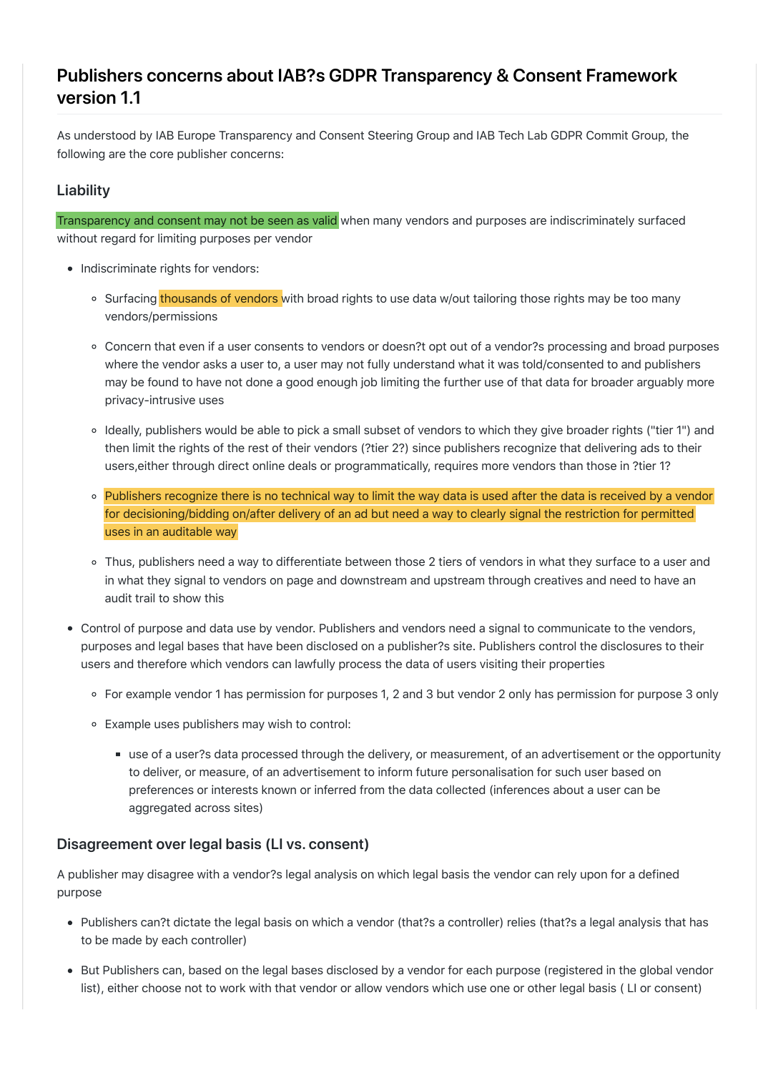# **[Pub](file:///Users/johnnyryan/Dropbox/Brave/Ravi/IAB/pubvendors.json%20v1.0%20Draft%20for%20Public%20Comment.md#publishers-concerns-about-iabs-gdpr-transparency--consent-framework-version-11-)lishers concerns about IAB?s GDPR Transparency & Consent Framework version 1.1**

As understood by IAB Europe Transparency and Consent Steering Group and IAB Tech Lab GDPR Commit Group, the following are the core publisher concerns:

#### **[Liab](file:///Users/johnnyryan/Dropbox/Brave/Ravi/IAB/pubvendors.json%20v1.0%20Draft%20for%20Public%20Comment.md#liability-)ility**

Transparency and consent may not be seen as valid when many vendors and purposes are indiscriminately surfaced without regard for limiting purposes per vendor

- Indiscriminate rights for vendors:
	- o Surfacing thousands of vendors with broad rights to use data w/out tailoring those rights may be too many vendors/permissions
	- Concern that even if a user consents to vendors or doesn?t opt out of a vendor?s processing and broad purposes where the vendor asks a user to, a user may not fully understand what it was told/consented to and publishers may be found to have not done a good enough job limiting the further use of that data for broader arguably more privacy-intrusive uses
	- o Ideally, publishers would be able to pick a small subset of vendors to which they give broader rights ("tier 1") and then limit the rights of the rest of their vendors (?tier 2?) since publishers recognize that delivering ads to their users,either through direct online deals or programmatically, requires more vendors than those in ?tier 1?
	- Publishers recognize there is no technical way to limit the way data is used after the data is received by a vendor for decisioning/bidding on/after delivery of an ad but need a way to clearly signal the restriction for permitted uses in an auditable way
	- Thus, publishers need a way to differentiate between those 2 tiers of vendors in what they surface to a user and in what they signal to vendors on page and downstream and upstream through creatives and need to have an audit trail to show this
- Control of purpose and data use by vendor. Publishers and vendors need a signal to communicate to the vendors, purposes and legal bases that have been disclosed on a publisher?s site. Publishers control the disclosures to their users and therefore which vendors can lawfully process the data of users visiting their properties
	- For example vendor 1 has permission for purposes 1, 2 and 3 but vendor 2 only has permission for purpose 3 only
	- Example uses publishers may wish to control:
		- use of a user?s data processed through the delivery, or measurement, of an advertisement or the opportunity to deliver, or measure, of an advertisement to inform future personalisation for such user based on preferences or interests known or inferred from the data collected (inferences about a user can be aggregated across sites)

### **[Disa](file:///Users/johnnyryan/Dropbox/Brave/Ravi/IAB/pubvendors.json%20v1.0%20Draft%20for%20Public%20Comment.md#disagreement-over-legal-basis-li-vs-consent-)greement over legal basis (LI vs. consent)**

A publisher may disagree with a vendor?s legal analysis on which legal basis the vendor can rely upon for a defined purpose

- Publishers can?t dictate the legal basis on which a vendor (that?s a controller) relies (that?s a legal analysis that has to be made by each controller)
- But Publishers can, based on the legal bases disclosed by a vendor for each purpose (registered in the global vendor list), either choose not to work with that vendor or allow vendors which use one or other legal basis ( LI or consent)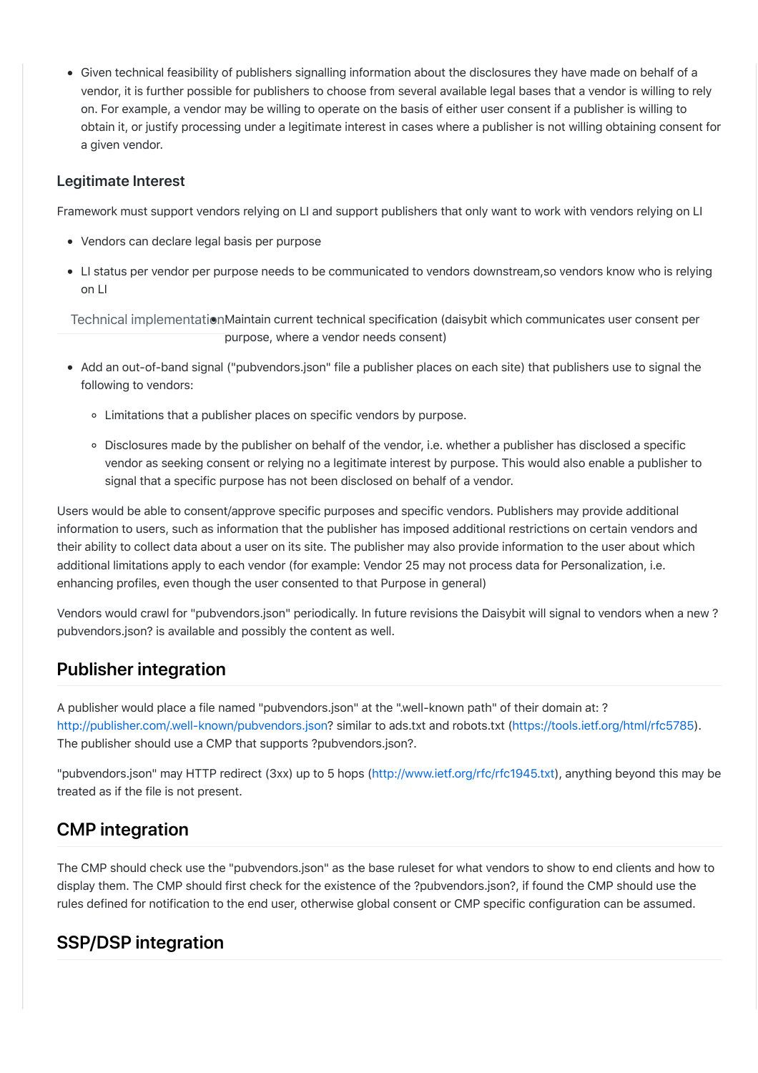Given technical feasibility of publishers signalling information about the disclosures they have made on behalf of a vendor, it is further possible for publishers to choose from several available legal bases that a vendor is willing to rely on. For example, a vendor may be willing to operate on the basis of either user consent if a publisher is willing to obtain it, or justify processing under a legitimate interest in cases where a publisher is not willing obtaining consent for a given vendor.

#### **[Leg](file:///Users/johnnyryan/Dropbox/Brave/Ravi/IAB/pubvendors.json%20v1.0%20Draft%20for%20Public%20Comment.md#legitimate-interest-)itimate Interest**

Framework must support vendors relying on LI and support publishers that only want to work with vendors relying on LI

- Vendors can declare legal basis per purpose
- LI status per vendor per purpose needs to be communicated to vendors downstream,so vendors know who is relying on LI

Technical implementationMaintain current technical specification (daisybit which communicates user consent per purpose, where a vendor needs consent)

- Add an out-of-band signal ("pubvendors.json" file a publisher places on each site) that publishers use to signal the following to vendors:
	- Limitations that a publisher places on specific vendors by purpose.
	- Disclosures made by the publisher on behalf of the vendor, i.e. whether a publisher has disclosed a specific vendor as seeking consent or relying no a legitimate interest by purpose. This would also enable a publisher to signal that a specific purpose has not been disclosed on behalf of a vendor.

Users would be able to consent/approve specific purposes and specific vendors. Publishers may provide additional information to users, such as information that the publisher has imposed additional restrictions on certain vendors and their ability to collect data about a user on its site. The publisher may also provide information to the user about which additional limitations apply to each vendor (for example: Vendor 25 may not process data for Personalization, i.e. enhancing profiles, even though the user consented to that Purpose in general)

Vendors would crawl for "pubvendors.json" periodically. In future revisions the Daisybit will signal to vendors when a new ? pubvendors.json? is available and possibly the content as well.

# **[Pub](file:///Users/johnnyryan/Dropbox/Brave/Ravi/IAB/pubvendors.json%20v1.0%20Draft%20for%20Public%20Comment.md#publisher-integration-)lisher integration**

A publisher would place a file named "pubvendors.json" at the ".well-known path" of their domain at: ? <http://publisher.com/.well-known/pubvendors.json>? similar to ads.txt and robots.txt [\(https://tools.ietf.org/html/rfc5785\)](https://tools.ietf.org/html/rfc5785). The publisher should use a CMP that supports ?pubvendors.json?.

"pubvendors.json" may HTTP redirect (3xx) up to 5 hops [\(http://www.ietf.org/rfc/rfc1945.txt](http://www.ietf.org/rfc/rfc1945.txt)), anything beyond this may be treated as if the file is not present.

# **[CM](file:///Users/johnnyryan/Dropbox/Brave/Ravi/IAB/pubvendors.json%20v1.0%20Draft%20for%20Public%20Comment.md#cmp-integration-)P integration**

The CMP should check use the "pubvendors.json" as the base ruleset for what vendors to show to end clients and how to display them. The CMP should first check for the existence of the ?pubvendors.json?, if found the CMP should use the rules defined for notification to the end user, otherwise global consent or CMP specific configuration can be assumed.

# **[SS](file:///Users/johnnyryan/Dropbox/Brave/Ravi/IAB/pubvendors.json%20v1.0%20Draft%20for%20Public%20Comment.md#sspdsp-integration-)P/DSP integration**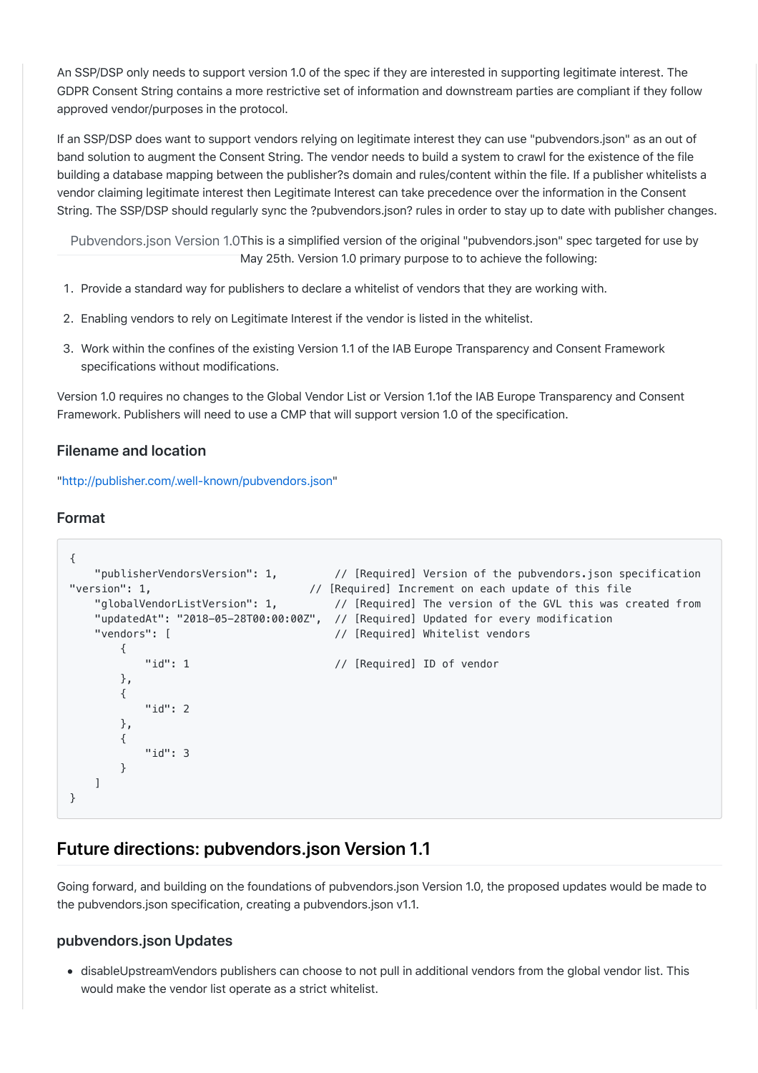An SSP/DSP only needs to support version 1.0 of the spec if they are interested in supporting legitimate interest. The GDPR Consent String contains a more restrictive set of information and downstream parties are compliant if they follow approved vendor/purposes in the protocol.

If an SSP/DSP does want to support vendors relying on legitimate interest they can use "pubvendors.json" as an out of band solution to augment the Consent String. The vendor needs to build a system to crawl for the existence of the file building a database mapping between the publisher?s domain and rules/content within the file. If a publisher whitelists a vendor claiming legitimate interest then Legitimate Interest can take precedence over the information in the Consent String. The SSP/DSP should regularly sync the ?pubvendors.json? rules in order to stay up to date with publisher changes.

Pubvendors.json Version 1.0This is a simplified version of the original "pubvendors.json" spec targeted for use by May 25th. Version 1.0 primary purpose to to achieve the following:

- ?. Provide a standard way for publishers to declare a whitelist of vendors that they are working with.
- 2. Enabling vendors to rely on Legitimate Interest if the vendor is listed in the whitelist.
- J. Work within the confines of the existing Version 1.1 of the IAB Europe Transparency and Consent Framework specifications without modifications.

Version 1.0 requires no changes to the Global Vendor List or Version 1.1of the IAB Europe Transparency and Consent Framework. Publishers will need to use a CMP that will support version 1.0 of the specification.

#### **[File](file:///Users/johnnyryan/Dropbox/Brave/Ravi/IAB/pubvendors.json%20v1.0%20Draft%20for%20Public%20Comment.md#filename-and-location-)name and location**

"[http://publisher.com/.well-known/pubvendors.json](http://publisher.com/.well-known/publisher-vendors.json)"

#### **[For](file:///Users/johnnyryan/Dropbox/Brave/Ravi/IAB/pubvendors.json%20v1.0%20Draft%20for%20Public%20Comment.md#format-)mat**

```
{
   "publisherVendorsVersion": 1, // [Required] Version of the pubvendors.json specification
"version": 1, \frac{1}{16} | \frac{1}{16} | [Required] Increment on each update of this file
   "globalVendorListVersion": 1, // [Required] The version of the GVL this was created from
    "updatedAt": "2018-05-28T00:00:00Z", // [Required] Updated for every modification
   "vendors": [ // [Required] Whitelist vendors
        {
           "id": 1 // [Required] ID of vendor
        },
        {
            "id": 2
        },
        {
            "id": 3
        }
    ]
}
```
### **[Fut](file:///Users/johnnyryan/Dropbox/Brave/Ravi/IAB/pubvendors.json%20v1.0%20Draft%20for%20Public%20Comment.md#future-directions-pubvendorsjson-version-11-)ure directions: pubvendors.json Version 1.1**

Going forward, and building on the foundations of pubvendors.json Version 1.0, the proposed updates would be made to the pubvendors.json specification, creating a pubvendors.json v1.1.

#### **[pub](file:///Users/johnnyryan/Dropbox/Brave/Ravi/IAB/pubvendors.json%20v1.0%20Draft%20for%20Public%20Comment.md#pubvendorsjson-updates-)vendors.json Updates**

disableUpstreamVendors publishers can choose to not pull in additional vendors from the global vendor list. This would make the vendor list operate as a strict whitelist.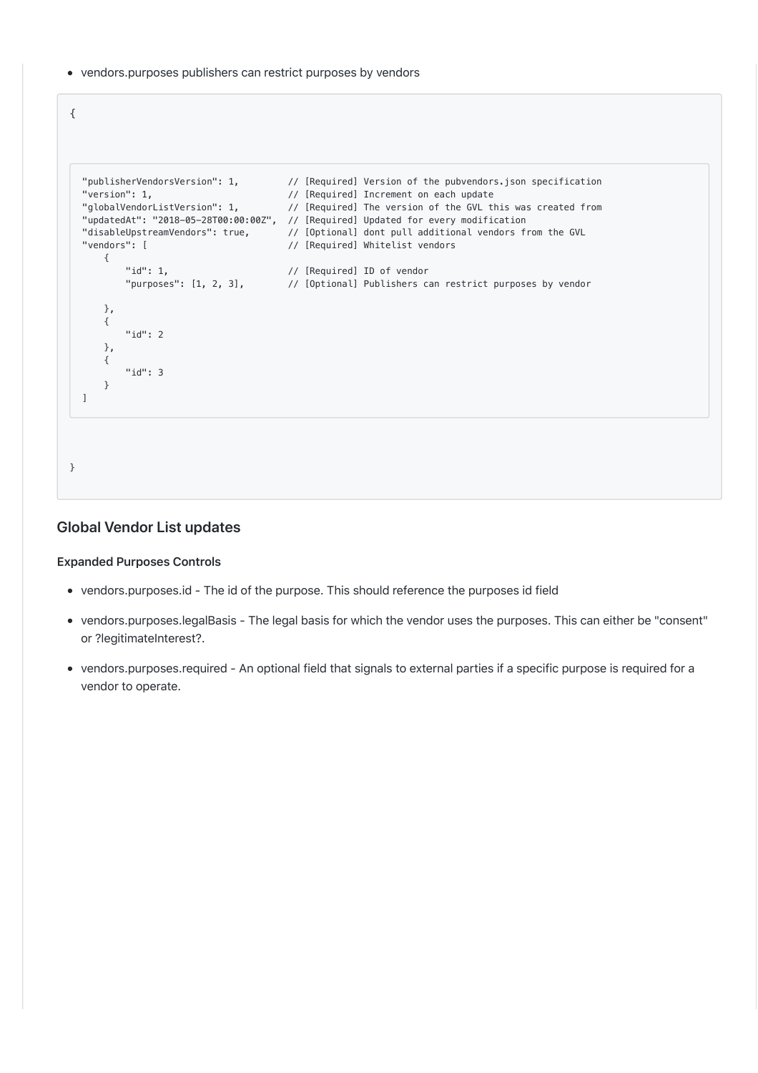• vendors.purposes publishers can restrict purposes by vendors

```
"publisherVendorsVersion": 1, // [Required] Version of the pubvendors.json specification
  "version": 1,                               // [Required] Increment on each update
  "globalVendorListVersion": 1,      // [Required] The version of the GVL this was created from
  "updatedAt": "2018-05-28T00:00:00Z", // [Required] Updated for every modification
  "disableUpstreamVendors": true, // [Optional] dont pull additional vendors from the GVL
  "vendors": [ // [Required] Whitelist vendors
      {
   "id": 1, // [Required] ID of vendor
   "purposes": [1, 2, 3], // [Optional] Publishers can restrict purposes by vendor
      },
      {
          "id": 2
      },
      {
          "id": 3
      }
  ]
}
```
#### **[Glo](file:///Users/johnnyryan/Dropbox/Brave/Ravi/IAB/pubvendors.json%20v1.0%20Draft%20for%20Public%20Comment.md#global-vendor-list-updates-)bal Vendor List updates**

#### **[Expa](file:///Users/johnnyryan/Dropbox/Brave/Ravi/IAB/pubvendors.json%20v1.0%20Draft%20for%20Public%20Comment.md#expanded-purposes-controls-)nded Purposes Controls**

{

- vendors.purposes.id The id of the purpose. This should reference the purposes id field
- vendors.purposes.legalBasis The legal basis for which the vendor uses the purposes. This can either be "consent" or ?legitimateInterest?.
- vendors.purposes.required An optional field that signals to external parties if a specific purpose is required for a vendor to operate.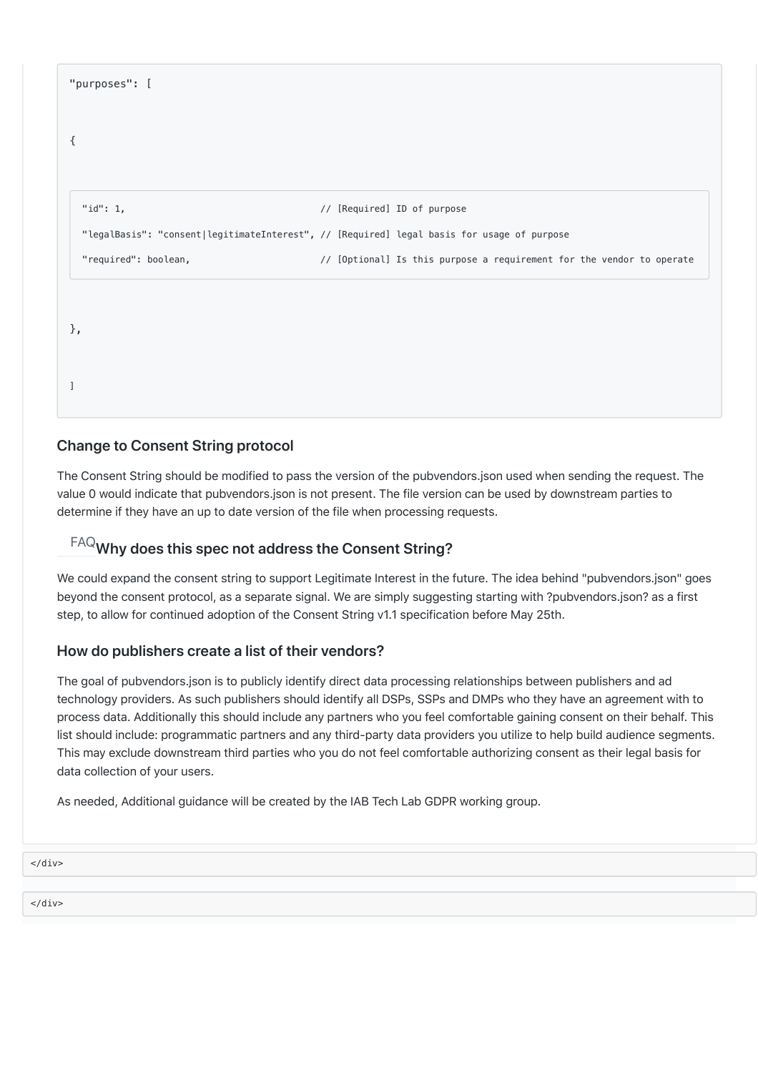| "purposes": [                                                                              |  |                                                                       |
|--------------------------------------------------------------------------------------------|--|-----------------------------------------------------------------------|
| ₹                                                                                          |  |                                                                       |
| "id": $1,$                                                                                 |  |                                                                       |
| "legalBasis": "consent legitimateInterest", // [Required] legal basis for usage of purpose |  | // [Required] ID of purpose                                           |
| "required": boolean,                                                                       |  | // [Optional] Is this purpose a requirement for the vendor to operate |
|                                                                                            |  |                                                                       |
| $\}$ ,                                                                                     |  |                                                                       |
|                                                                                            |  |                                                                       |
|                                                                                            |  |                                                                       |

### **[Cha](file:///Users/johnnyryan/Dropbox/Brave/Ravi/IAB/pubvendors.json%20v1.0%20Draft%20for%20Public%20Comment.md#change-to-consent-string-protocol-)nge to Consent String protocol**

The Consent String should be modified to pass the version of the pubvendors.json used when sending the request. The value 0 would indicate that pubvendors.json is not present. The file version can be used by downstream parties to determine if they have an up to date version of the file when processing requests.

# [FA](file:///Users/johnnyryan/Dropbox/Brave/Ravi/IAB/pubvendors.json%20v1.0%20Draft%20for%20Public%20Comment.md#why-does-this-spec-not-address-the-consent-string)Q**Why does this spec not address the Consent String?**

We could expand the consent string to support Legitimate Interest in the future. The idea behind "pubvendors.json" goes beyond the consent protocol, as a separate signal. We are simply suggesting starting with ?pubvendors.json? as a first step, to allow for continued adoption of the Consent String v1.1 specification before May 25th.

#### **[How](file:///Users/johnnyryan/Dropbox/Brave/Ravi/IAB/pubvendors.json%20v1.0%20Draft%20for%20Public%20Comment.md#how-do-publishers-create-a-list-of-their-vendors) do publishers create a list of their vendors?**

The goal of pubvendors.json is to publicly identify direct data processing relationships between publishers and ad technology providers. As such publishers should identify all DSPs, SSPs and DMPs who they have an agreement with to process data. Additionally this should include any partners who you feel comfortable gaining consent on their behalf. This list should include: programmatic partners and any third-party data providers you utilize to help build audience segments. This may exclude downstream third parties who you do not feel comfortable authorizing consent as their legal basis for data collection of your users.

As needed, Additional guidance will be created by the IAB Tech Lab GDPR working group.

</div>

</div>